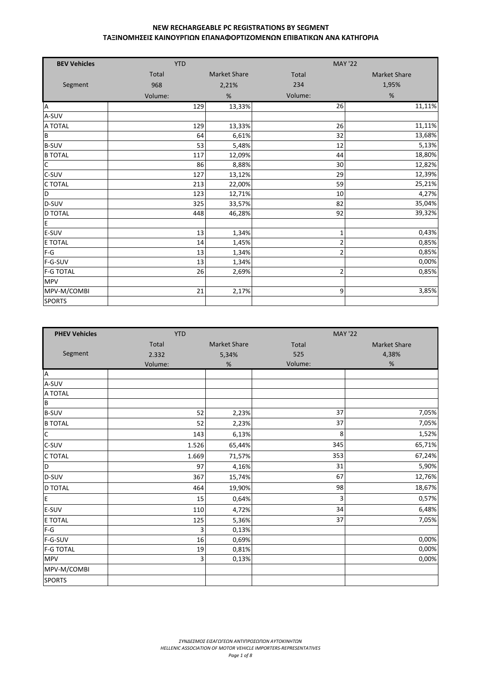| <b>BEV Vehicles</b> | <b>YTD</b>   |                     |                | <b>MAY '22</b>      |
|---------------------|--------------|---------------------|----------------|---------------------|
|                     | <b>Total</b> | <b>Market Share</b> | <b>Total</b>   | <b>Market Share</b> |
| Segment             | 968          | 2,21%               | 234            | 1,95%               |
|                     | Volume:      | %                   | Volume:        | %                   |
| A                   | 129          | 13,33%              | 26             | 11,11%              |
| A-SUV               |              |                     |                |                     |
| A TOTAL             | 129          | 13,33%              | 26             | 11,11%              |
| B                   | 64           | 6,61%               | 32             | 13,68%              |
| <b>B-SUV</b>        | 53           | 5,48%               | 12             | 5,13%               |
| <b>B TOTAL</b>      | 117          | 12,09%              | 44             | 18,80%              |
| $\overline{C}$      | 86           | 8,88%               | 30             | 12,82%              |
| C-SUV               | 127          | 13,12%              | 29             | 12,39%              |
| C TOTAL             | 213          | 22,00%              | 59             | 25,21%              |
| D                   | 123          | 12,71%              | 10             | 4,27%               |
| D-SUV               | 325          | 33,57%              | 82             | 35,04%              |
| D TOTAL             | 448          | 46,28%              | 92             | 39,32%              |
| E                   |              |                     |                |                     |
| E-SUV               | 13           | 1,34%               | $\mathbf 1$    | 0,43%               |
| E TOTAL             | 14           | 1,45%               | $\overline{c}$ | 0,85%               |
| $F-G$               | 13           | 1,34%               | $\overline{2}$ | 0,85%               |
| F-G-SUV             | 13           | 1,34%               |                | 0,00%               |
| <b>F-G TOTAL</b>    | 26           | 2,69%               | $\overline{2}$ | 0,85%               |
| <b>MPV</b>          |              |                     |                |                     |
| MPV-M/COMBI         | 21           | 2,17%               | 9              | 3,85%               |
| <b>SPORTS</b>       |              |                     |                |                     |

| <b>PHEV Vehicles</b> | <b>YTD</b> |                     | <b>MAY '22</b> |                     |  |  |
|----------------------|------------|---------------------|----------------|---------------------|--|--|
|                      | Total      | <b>Market Share</b> | Total          | <b>Market Share</b> |  |  |
| Segment              | 2.332      | 5,34%               | 525            | 4,38%               |  |  |
|                      | Volume:    | %                   | Volume:        | %                   |  |  |
| A                    |            |                     |                |                     |  |  |
| A-SUV                |            |                     |                |                     |  |  |
| A TOTAL              |            |                     |                |                     |  |  |
| B                    |            |                     |                |                     |  |  |
| <b>B-SUV</b>         | 52         | 2,23%               | 37             | 7,05%               |  |  |
| <b>B TOTAL</b>       | 52         | 2,23%               | 37             | 7,05%               |  |  |
| $\mathsf{C}$         | 143        | 6,13%               | 8              | 1,52%               |  |  |
| C-SUV                | 1.526      | 65,44%              | 345            | 65,71%              |  |  |
| C TOTAL              | 1.669      | 71,57%              | 353            | 67,24%              |  |  |
| D                    | 97         | 4,16%               | 31             | 5,90%               |  |  |
| D-SUV                | 367        | 15,74%              | 67             | 12,76%              |  |  |
| D TOTAL              | 464        | 19,90%              | 98             | 18,67%              |  |  |
| E                    | 15         | 0,64%               | 3              | 0,57%               |  |  |
| E-SUV                | 110        | 4,72%               | 34             | 6,48%               |  |  |
| <b>E TOTAL</b>       | 125        | 5,36%               | 37             | 7,05%               |  |  |
| $F-G$                | 3          | 0,13%               |                |                     |  |  |
| F-G-SUV              | 16         | 0,69%               |                | 0,00%               |  |  |
| <b>F-G TOTAL</b>     | 19         | 0,81%               |                | 0,00%               |  |  |
| <b>MPV</b>           | 3          | 0,13%               |                | 0,00%               |  |  |
| MPV-M/COMBI          |            |                     |                |                     |  |  |
| <b>SPORTS</b>        |            |                     |                |                     |  |  |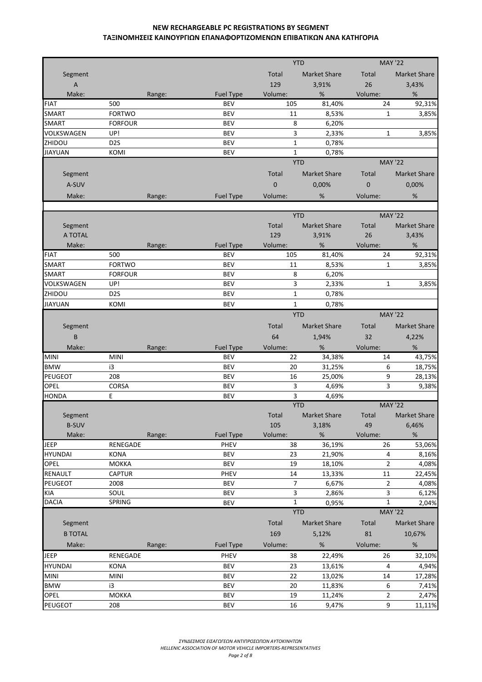|                           |                  |        |                  |              | <b>YTD</b>          | <b>MAY '22</b> |                     |
|---------------------------|------------------|--------|------------------|--------------|---------------------|----------------|---------------------|
| Segment                   |                  |        |                  | Total        | <b>Market Share</b> | Total          | <b>Market Share</b> |
| $\boldsymbol{\mathsf{A}}$ |                  |        |                  | 129          | 3,91%               | 26             | 3,43%               |
| Make:                     |                  | Range: | <b>Fuel Type</b> | Volume:      | %                   | Volume:        | %                   |
| <b>FIAT</b>               | 500              |        | <b>BEV</b>       | 105          | 81,40%              | 24             | 92,31%              |
| <b>SMART</b>              | <b>FORTWO</b>    |        | <b>BEV</b>       | 11           | 8,53%               | $\mathbf{1}$   | 3,85%               |
| <b>SMART</b>              | <b>FORFOUR</b>   |        | <b>BEV</b>       | 8            | 6,20%               |                |                     |
| VOLKSWAGEN                | UP!              |        | <b>BEV</b>       | 3            | 2,33%               | $\mathbf{1}$   | 3,85%               |
| ZHIDOU                    | D <sub>2</sub> S |        | <b>BEV</b>       | $\mathbf{1}$ | 0,78%               |                |                     |
| <b>JIAYUAN</b>            | KOMI             |        | <b>BEV</b>       | $\mathbf{1}$ | 0,78%               |                |                     |
|                           |                  |        |                  |              | <b>YTD</b>          | <b>MAY '22</b> |                     |
|                           |                  |        |                  |              |                     |                |                     |
| Segment                   |                  |        |                  | Total        | <b>Market Share</b> | Total          | <b>Market Share</b> |
| A-SUV                     |                  |        |                  | $\mathbf 0$  | 0,00%               | $\mathbf{0}$   | 0,00%               |
| Make:                     |                  | Range: | <b>Fuel Type</b> | Volume:      | %                   | Volume:        | %                   |
|                           |                  |        |                  |              |                     |                |                     |
|                           |                  |        |                  |              | <b>YTD</b>          | <b>MAY '22</b> |                     |
| Segment                   |                  |        |                  | Total        | <b>Market Share</b> | Total          | <b>Market Share</b> |
| A TOTAL                   |                  |        |                  | 129          | 3,91%               | 26             | 3,43%               |
| Make:                     |                  | Range: | <b>Fuel Type</b> | Volume:      | %                   | Volume:        | $\%$                |
| <b>FIAT</b>               | 500              |        | <b>BEV</b>       | 105          | 81,40%              | 24             | 92,31%              |
| <b>SMART</b>              | <b>FORTWO</b>    |        | <b>BEV</b>       | 11           | 8,53%               | $\mathbf{1}$   | 3,85%               |
| <b>SMART</b>              | <b>FORFOUR</b>   |        | <b>BEV</b>       | 8            | 6,20%               |                |                     |
| VOLKSWAGEN                | UP!              |        | <b>BEV</b>       | 3            | 2,33%               | $\mathbf{1}$   | 3,85%               |
| ZHIDOU                    | D <sub>2</sub> S |        | <b>BEV</b>       | $\mathbf{1}$ | 0,78%               |                |                     |
| <b>JIAYUAN</b>            | KOMI             |        | <b>BEV</b>       | $\mathbf{1}$ | 0,78%               |                |                     |
|                           |                  |        |                  |              | <b>YTD</b>          | <b>MAY '22</b> |                     |
| Segment                   |                  |        |                  | Total        | <b>Market Share</b> | Total          | <b>Market Share</b> |
| B                         |                  |        |                  | 64           | 1,94%               | 32             | 4,22%               |
| Make:                     |                  | Range: | <b>Fuel Type</b> | Volume:      | %                   | Volume:        | %                   |
| <b>MINI</b>               | <b>MINI</b>      |        | <b>BEV</b>       | 22           | 34,38%              | 14             | 43,75%              |
| <b>BMW</b>                | i3               |        | <b>BEV</b>       | 20           | 31,25%              | 6              | 18,75%              |
| PEUGEOT                   | 208              |        | <b>BEV</b>       | 16           | 25,00%              | 9              | 28,13%              |
| OPEL                      | CORSA            |        | <b>BEV</b>       | 3            | 4,69%               | 3              | 9,38%               |
| <b>HONDA</b>              | E                |        | <b>BEV</b>       | 3            | 4,69%               |                |                     |
|                           |                  |        |                  |              | <b>YTD</b>          | <b>MAY '22</b> |                     |
| Segment                   |                  |        |                  | Total        | Market Share        | Total          | Market Share        |
| <b>B-SUV</b>              |                  |        |                  | 105          | 3,18%               | 49             | 6,46%               |
| Make:                     |                  | Range: | Fuel Type        | Volume:      | $\%$                | Volume:        | %                   |
| <b>JEEP</b>               | RENEGADE         |        | <b>PHEV</b>      | 38           | 36,19%              | 26             | 53,06%              |
| <b>HYUNDAI</b>            | <b>KONA</b>      |        | BEV              | 23           | 21,90%              | 4              | 8,16%               |
| OPEL                      | <b>MOKKA</b>     |        | <b>BEV</b>       | 19           | 18,10%              | $\overline{2}$ | 4,08%               |
| RENAULT                   | <b>CAPTUR</b>    |        | PHEV             | 14           | 13,33%              | 11             | 22,45%              |
| <b>PEUGEOT</b>            |                  |        |                  |              |                     |                |                     |
|                           | 2008             |        | <b>BEV</b>       | 7            | 6,67%               | 2              | 4,08%               |
| KIA                       | SOUL             |        | <b>BEV</b>       | 3            | 2,86%               | 3              | 6,12%               |
| <b>DACIA</b>              | SPRING           |        | <b>BEV</b>       | $\mathbf{1}$ | 0,95%               | $\mathbf 1$    | 2,04%               |
|                           |                  |        |                  |              | <b>YTD</b>          | <b>MAY '22</b> |                     |
| Segment                   |                  |        |                  | Total        | Market Share        | Total          | Market Share        |
| <b>B TOTAL</b>            |                  |        |                  | 169          | 5,12%               | 81             | 10,67%              |
| Make:                     |                  | Range: | <b>Fuel Type</b> | Volume:      | $\%$                | Volume:        | %                   |
| <b>JEEP</b>               | RENEGADE         |        | PHEV             | 38           | 22,49%              | 26             | 32,10%              |
| <b>HYUNDAI</b>            | <b>KONA</b>      |        | <b>BEV</b>       | 23           | 13,61%              | 4              | 4,94%               |
| <b>MINI</b>               | <b>MINI</b>      |        | <b>BEV</b>       | 22           | 13,02%              | 14             | 17,28%              |
| <b>BMW</b>                | i3               |        | <b>BEV</b>       | 20           | 11,83%              | 6              |                     |
| <b>OPEL</b>               | <b>MOKKA</b>     |        | <b>BEV</b>       | 19           | 11,24%              | $\overline{2}$ | 7,41%<br>2,47%      |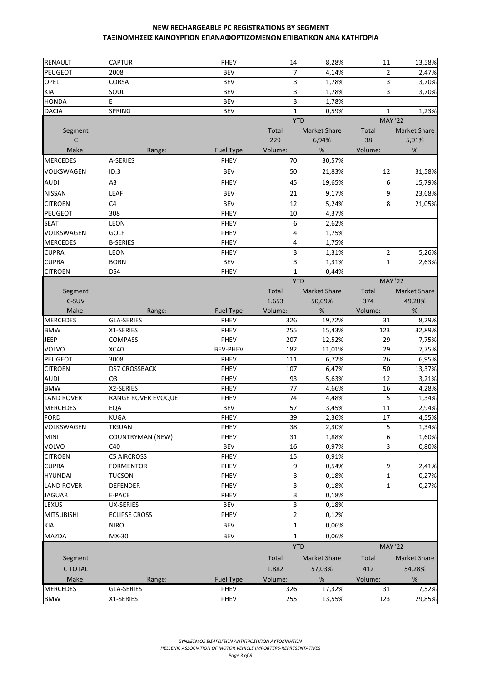| <b>RENAULT</b>    | <b>CAPTUR</b>           | PHEV             | 14                  | 8,28%               | 11             | 13,58%              |
|-------------------|-------------------------|------------------|---------------------|---------------------|----------------|---------------------|
| PEUGEOT           | 2008                    | <b>BEV</b>       | 7                   | 4,14%               | $\overline{2}$ | 2,47%               |
| OPEL              | CORSA                   | <b>BEV</b>       | 3                   | 1,78%               | 3              | 3,70%               |
| <b>KIA</b>        | SOUL                    | <b>BEV</b>       | 3                   | 1,78%               | 3              | 3,70%               |
| <b>HONDA</b>      | E                       | <b>BEV</b>       | 3                   | 1,78%               |                |                     |
| <b>DACIA</b>      | SPRING                  | <b>BEV</b>       | $\mathbf{1}$        | 0,59%               | $\mathbf{1}$   | 1,23%               |
|                   |                         |                  |                     | <b>YTD</b>          | <b>MAY '22</b> |                     |
| Segment           |                         |                  | Total               | <b>Market Share</b> | Total          | <b>Market Share</b> |
| C                 |                         |                  | 229                 | 6,94%               | 38             | 5,01%               |
| Make:             | Range:                  | <b>Fuel Type</b> | Volume:             | %                   | Volume:        | %                   |
| <b>MERCEDES</b>   | A-SERIES                | PHEV             | 70                  | 30,57%              |                |                     |
| VOLKSWAGEN        | ID.3                    | <b>BEV</b>       | 50                  | 21,83%              | 12             | 31,58%              |
| <b>AUDI</b>       | A <sub>3</sub>          | PHEV             | 45                  | 19,65%              | 6              | 15,79%              |
| <b>NISSAN</b>     | LEAF                    | <b>BEV</b>       | 21                  | 9,17%               | 9              | 23,68%              |
| <b>CITROEN</b>    | C <sub>4</sub>          | <b>BEV</b>       | 12                  | 5,24%               | 8              | 21,05%              |
| PEUGEOT           | 308                     | PHEV             | 10                  | 4,37%               |                |                     |
| <b>SEAT</b>       | LEON                    | PHEV             | 6                   | 2,62%               |                |                     |
| VOLKSWAGEN        | GOLF                    | PHEV             | 4                   | 1,75%               |                |                     |
| <b>MERCEDES</b>   | <b>B-SERIES</b>         | <b>PHEV</b>      | 4                   | 1,75%               |                |                     |
| <b>CUPRA</b>      | LEON                    | PHEV             | 3                   | 1,31%               | $\overline{2}$ | 5,26%               |
| <b>CUPRA</b>      | <b>BORN</b>             | <b>BEV</b>       | 3                   | 1,31%               | $\mathbf{1}$   | 2,63%               |
| <b>CITROEN</b>    | DS4                     | PHEV             | $\mathbf{1}$        | 0,44%               |                |                     |
|                   |                         |                  |                     | <b>YTD</b>          | <b>MAY '22</b> |                     |
| Segment           |                         |                  | Total               | <b>Market Share</b> | Total          | Market Share        |
| C-SUV             |                         |                  | 1.653               | 50,09%              | 374            | 49,28%              |
| Make:             | Range:                  | <b>Fuel Type</b> | Volume:             | %                   | Volume:        | %                   |
| <b>MERCEDES</b>   | <b>GLA-SERIES</b>       | <b>PHEV</b>      | 326                 | 19,72%              | 31             | 8,29%               |
| <b>BMW</b>        | X1-SERIES               | PHEV             | 255                 | 15,43%              | 123            | 32,89%              |
| <b>JEEP</b>       | <b>COMPASS</b>          | PHEV             | 207                 | 12,52%              | 29             | 7,75%               |
| VOLVO             | XC40                    | <b>BEV-PHEV</b>  | 182                 | 11,01%              | 29             | 7,75%               |
| PEUGEOT           | 3008                    | <b>PHEV</b>      | 111                 | 6,72%               | 26             | 6,95%               |
| <b>CITROEN</b>    | <b>DS7 CROSSBACK</b>    | PHEV             | 107                 | 6,47%               | 50             | 13,37%              |
| <b>AUDI</b>       | Q <sub>3</sub>          | PHEV             | 93                  | 5,63%               | 12             | 3,21%               |
| <b>BMW</b>        | X2-SERIES               | <b>PHEV</b>      | 77                  | 4,66%               | 16             | 4,28%               |
| <b>LAND ROVER</b> | RANGE ROVER EVOQUE      | PHEV             | 74                  | 4,48%               | 5              | 1,34%               |
| <b>MERCEDES</b>   | EQA                     | <b>BEV</b>       | 57                  | 3,45%               | 11             | 2,94%               |
| <b>FORD</b>       | <b>KUGA</b>             | PHEV             | 39                  | 2,36%               | 17             | 4,55%               |
| VOLKSWAGEN        | <b>TIGUAN</b>           | PHEV             | 38                  | 2,30%               | 5              | 1,34%               |
| <b>MINI</b>       | <b>COUNTRYMAN (NEW)</b> | PHEV             | 31                  | 1,88%               | 6              | 1,60%               |
| <b>VOLVO</b>      | C40                     | <b>BEV</b>       | 16                  | 0,97%               | 3              | 0,80%               |
| <b>CITROEN</b>    | <b>C5 AIRCROSS</b>      | PHEV             | 15                  | 0,91%               |                |                     |
| <b>CUPRA</b>      | <b>FORMENTOR</b>        | PHEV             | 9                   | 0,54%               | 9              | 2,41%               |
| <b>HYUNDAI</b>    | <b>TUCSON</b>           | PHEV             | 3                   | 0,18%               | $\mathbf 1$    | 0,27%               |
| <b>LAND ROVER</b> | <b>DEFENDER</b>         | PHEV             | 3                   | 0,18%               | $\mathbf{1}$   | 0,27%               |
| <b>JAGUAR</b>     | E-PACE                  | PHEV             | 3                   | 0,18%               |                |                     |
| LEXUS             | UX-SERIES               | <b>BEV</b>       | 3<br>$\overline{2}$ | 0,18%               |                |                     |
| <b>MITSUBISHI</b> | <b>ECLIPSE CROSS</b>    | PHEV             |                     | 0,12%               |                |                     |
| <b>KIA</b>        | <b>NIRO</b>             | BEV              | $\mathbf{1}$        | 0,06%               |                |                     |
| <b>MAZDA</b>      | MX-30                   | <b>BEV</b>       | $\mathbf{1}$        | 0,06%               |                |                     |
|                   |                         |                  |                     | <b>YTD</b>          | <b>MAY '22</b> |                     |
| Segment           |                         |                  | Total               | <b>Market Share</b> | Total          | <b>Market Share</b> |
| <b>C TOTAL</b>    |                         |                  | 1.882               | 57,03%              | 412            | 54,28%              |
| Make:             | Range:                  | <b>Fuel Type</b> | Volume:             | $\%$                | Volume:        | $\%$                |
| <b>MERCEDES</b>   | <b>GLA-SERIES</b>       | PHEV             | 326                 | 17,32%              | 31             | 7,52%               |
| <b>BMW</b>        | X1-SERIES               | PHEV             | 255                 | 13,55%              | 123            | 29,85%              |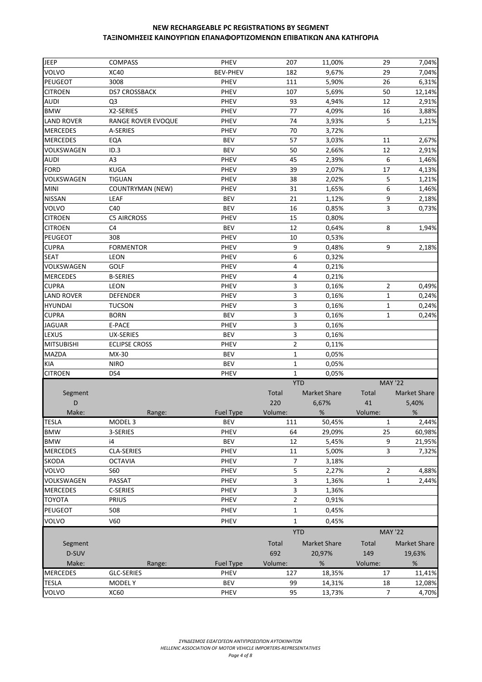| <b>JEEP</b>       | <b>COMPASS</b>          | PHEV             | 207            | 11,00%              | 29             | 7,04%               |
|-------------------|-------------------------|------------------|----------------|---------------------|----------------|---------------------|
| VOLVO             | <b>XC40</b>             | <b>BEV-PHEV</b>  | 182            | 9,67%               | 29             | 7,04%               |
| PEUGEOT           | 3008                    | PHEV             | 111            | 5,90%               | 26             | 6,31%               |
| <b>CITROEN</b>    | DS7 CROSSBACK           | PHEV             | 107            | 5,69%               | 50             | 12,14%              |
| <b>AUDI</b>       | Q <sub>3</sub>          | PHEV             | 93             | 4,94%               | 12             | 2,91%               |
| <b>BMW</b>        | X2-SERIES               | PHEV             | 77             | 4,09%               | 16             | 3,88%               |
| <b>LAND ROVER</b> | RANGE ROVER EVOQUE      | PHEV             | 74             | 3,93%               | 5              | 1,21%               |
| <b>MERCEDES</b>   | A-SERIES                | PHEV             | 70             | 3,72%               |                |                     |
| <b>MERCEDES</b>   | EQA                     | <b>BEV</b>       | 57             | 3,03%               | 11             | 2,67%               |
| VOLKSWAGEN        | ID.3                    | <b>BEV</b>       | 50             | 2,66%               | 12             | 2,91%               |
| <b>AUDI</b>       | A3                      | PHEV             | 45             | 2,39%               | 6              | 1,46%               |
| <b>FORD</b>       | <b>KUGA</b>             | PHEV             | 39             | 2,07%               | 17             | 4,13%               |
| VOLKSWAGEN        | <b>TIGUAN</b>           | PHEV             | 38             | 2,02%               | 5              | 1,21%               |
| <b>MINI</b>       | <b>COUNTRYMAN (NEW)</b> | PHEV             | 31             | 1,65%               | 6              | 1,46%               |
| <b>NISSAN</b>     | <b>LEAF</b>             | <b>BEV</b>       | 21             | 1,12%               | 9              | 2,18%               |
| VOLVO             | C40                     | <b>BEV</b>       | 16             | 0,85%               | 3              | 0,73%               |
| <b>CITROEN</b>    | <b>C5 AIRCROSS</b>      | PHEV             | 15             | 0,80%               |                |                     |
| <b>CITROEN</b>    | C4                      | <b>BEV</b>       | 12             | 0,64%               | 8              | 1,94%               |
| <b>PEUGEOT</b>    | 308                     | PHEV             | 10             | 0,53%               |                |                     |
| <b>CUPRA</b>      | <b>FORMENTOR</b>        | PHEV             | 9              | 0,48%               | 9              | 2,18%               |
| <b>SEAT</b>       | LEON                    | PHEV             | 6              | 0,32%               |                |                     |
| VOLKSWAGEN        | GOLF                    | PHEV             | 4              | 0,21%               |                |                     |
| <b>MERCEDES</b>   | <b>B-SERIES</b>         | PHEV             | 4              | 0,21%               |                |                     |
| <b>CUPRA</b>      | LEON                    | PHEV             | 3              |                     | 2              |                     |
|                   |                         |                  | 3              | 0,16%               | $\mathbf 1$    | 0,49%               |
| <b>LAND ROVER</b> | <b>DEFENDER</b>         | PHEV             |                | 0,16%               |                | 0,24%               |
| <b>HYUNDAI</b>    | <b>TUCSON</b>           | PHEV             | 3              | 0,16%               | $\mathbf{1}$   | 0,24%               |
| <b>CUPRA</b>      | <b>BORN</b>             | <b>BEV</b>       | 3              | 0,16%               | $\mathbf{1}$   | 0,24%               |
| <b>JAGUAR</b>     | E-PACE                  | PHEV             | 3              | 0,16%               |                |                     |
| LEXUS             | <b>UX-SERIES</b>        | <b>BEV</b>       | 3              | 0,16%               |                |                     |
| <b>MITSUBISHI</b> | <b>ECLIPSE CROSS</b>    | PHEV             | 2              | 0,11%               |                |                     |
| MAZDA             | MX-30                   | <b>BEV</b>       | 1              | 0,05%               |                |                     |
| <b>KIA</b>        | <b>NIRO</b>             | <b>BEV</b>       | 1              | 0,05%               |                |                     |
| <b>CITROEN</b>    | DS4                     | PHEV             | $\mathbf{1}$   | 0,05%               |                |                     |
|                   |                         |                  | <b>YTD</b>     |                     | <b>MAY '22</b> |                     |
| Segment           |                         |                  | Total          | <b>Market Share</b> | Total          | <b>Market Share</b> |
| D                 |                         |                  | 220            | 6,67%               | 41             | 5,40%               |
| Make:             | Range:                  | Fuel Type        | Volume:        | $\%$                | Volume:        | $\%$                |
| IESLA             | MODEL <sub>3</sub>      | <b>BFA</b>       | 111            | 50,45%              | 1              | 2,44%               |
| <b>BMW</b>        | 3-SERIES                | PHEV             | 64             | 29,09%              | 25             | 60,98%              |
| <b>BMW</b>        | i4                      | <b>BEV</b>       | 12             | 5,45%               | 9              | 21,95%              |
| <b>MERCEDES</b>   | CLA-SERIES              | PHEV             | 11             | 5,00%               | 3              | 7,32%               |
| <b>SKODA</b>      | <b>OCTAVIA</b>          | PHEV             | 7              | 3,18%               |                |                     |
| <b>VOLVO</b>      | S60                     | PHEV             | 5              | 2,27%               | 2              | 4,88%               |
| VOLKSWAGEN        | PASSAT                  | PHEV             | 3              | 1,36%               | $\mathbf{1}$   | 2,44%               |
| <b>MERCEDES</b>   | C-SERIES                | PHEV             | 3              | 1,36%               |                |                     |
| <b>TOYOTA</b>     | <b>PRIUS</b>            | PHEV             | $\overline{2}$ | 0,91%               |                |                     |
| PEUGEOT           | 508                     | PHEV             | $\mathbf{1}$   | 0,45%               |                |                     |
| <b>VOLVO</b>      | V60                     | PHEV             | $\mathbf{1}$   | 0,45%               |                |                     |
|                   |                         |                  | <b>YTD</b>     |                     | <b>MAY '22</b> |                     |
| Segment           |                         |                  | Total          | <b>Market Share</b> | Total          | <b>Market Share</b> |
|                   |                         |                  |                |                     |                |                     |
| D-SUV             |                         |                  | 692            | 20,97%              | 149            | 19,63%              |
| Make:             | Range:                  | <b>Fuel Type</b> | Volume:        | %                   | Volume:        | %                   |
| <b>MERCEDES</b>   | GLC-SERIES              | PHEV             | 127            | 18,35%              | 17             | 11,41%              |
| <b>TESLA</b>      | <b>MODELY</b>           | BEV              | 99             | 14,31%              | 18             | 12,08%              |
| <b>VOLVO</b>      | XC60                    | PHEV             | 95             | 13,73%              | $\overline{7}$ | 4,70%               |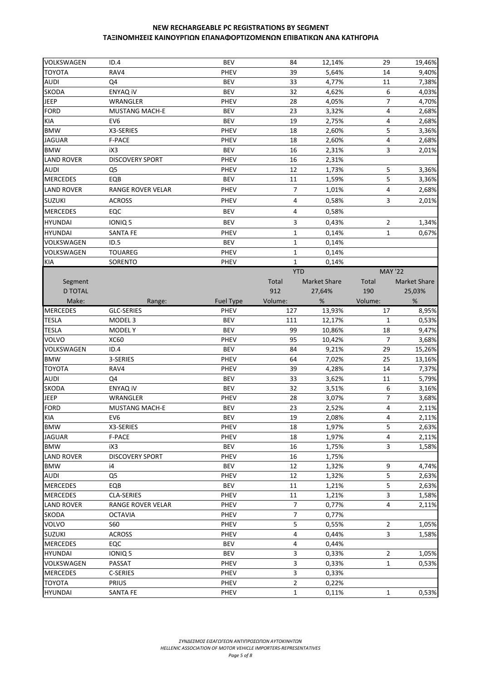| VOLKSWAGEN        | ID.4                        | <b>BEV</b>       | 84             | 12,14%              | 29             | 19,46%              |
|-------------------|-----------------------------|------------------|----------------|---------------------|----------------|---------------------|
| <b>TOYOTA</b>     | RAV4                        | PHEV             | 39             | 5,64%               | 14             | 9,40%               |
| <b>AUDI</b>       | Q4                          | <b>BEV</b>       | 33             | 4,77%               | 11             | 7,38%               |
| <b>SKODA</b>      | ENYAQ iV                    | <b>BEV</b>       | 32             | 4,62%               | 6              | 4,03%               |
| <b>JEEP</b>       | WRANGLER                    | PHEV             | 28             | 4,05%               | $\overline{7}$ | 4,70%               |
| <b>FORD</b>       | <b>MUSTANG MACH-E</b>       | <b>BEV</b>       | 23             | 3,32%               | 4              | 2,68%               |
| <b>KIA</b>        | EV <sub>6</sub>             | <b>BEV</b>       | 19             | 2,75%               | 4              | 2,68%               |
| <b>BMW</b>        | X3-SERIES                   | PHEV             | 18             | 2,60%               | 5              | 3,36%               |
| <b>JAGUAR</b>     | F-PACE                      | <b>PHEV</b>      | 18             | 2,60%               | 4              | 2,68%               |
| <b>BMW</b>        | iX3                         | <b>BEV</b>       | 16             | 2,31%               | 3              | 2,01%               |
| <b>LAND ROVER</b> | <b>DISCOVERY SPORT</b>      | PHEV             | 16             | 2,31%               |                |                     |
| <b>AUDI</b>       | Q <sub>5</sub>              | PHEV             | 12             | 1,73%               | 5              | 3,36%               |
| <b>MERCEDES</b>   | EQB                         | <b>BEV</b>       | 11             | 1,59%               | 5              | 3,36%               |
| <b>LAND ROVER</b> | RANGE ROVER VELAR           | PHEV             | 7              | 1,01%               | 4              | 2,68%               |
| <b>SUZUKI</b>     | <b>ACROSS</b>               | <b>PHEV</b>      | 4              | 0,58%               | 3              | 2,01%               |
| <b>MERCEDES</b>   | EQC                         | <b>BEV</b>       | 4              | 0,58%               |                |                     |
| <b>HYUNDAI</b>    | IONIQ 5                     | <b>BEV</b>       | 3              | 0,43%               | $\overline{2}$ | 1,34%               |
| <b>HYUNDAI</b>    | <b>SANTA FE</b>             | PHEV             | $\mathbf{1}$   | 0,14%               | $\mathbf{1}$   | 0,67%               |
| <b>VOLKSWAGEN</b> | ID.5                        | <b>BEV</b>       | $\mathbf{1}$   | 0,14%               |                |                     |
| VOLKSWAGEN        | <b>TOUAREG</b>              | <b>PHEV</b>      | $\mathbf{1}$   | 0,14%               |                |                     |
| <b>KIA</b>        | SORENTO                     | PHEV             | $\mathbf{1}$   | 0,14%               |                |                     |
|                   |                             |                  | <b>YTD</b>     |                     | <b>MAY '22</b> |                     |
| Segment           |                             |                  | Total          | <b>Market Share</b> | Total          | <b>Market Share</b> |
| <b>D TOTAL</b>    |                             |                  | 912            |                     | 190            | 25,03%              |
| Make:             |                             | <b>Fuel Type</b> | Volume:        | 27,64%<br>%         | Volume:        | %                   |
| <b>MERCEDES</b>   | Range:<br><b>GLC-SERIES</b> | PHEV             | 127            | 13,93%              | 17             | 8,95%               |
| <b>TESLA</b>      | MODEL <sub>3</sub>          | <b>BEV</b>       | 111            | 12,17%              | $\mathbf{1}$   | 0,53%               |
| <b>TESLA</b>      | <b>MODELY</b>               | <b>BEV</b>       | 99             | 10,86%              | 18             | 9,47%               |
| <b>VOLVO</b>      | <b>XC60</b>                 | PHEV             | 95             | 10,42%              | $\overline{7}$ | 3,68%               |
| VOLKSWAGEN        | ID.4                        | <b>BEV</b>       | 84             | 9,21%               | 29             | 15,26%              |
| <b>BMW</b>        | 3-SERIES                    | PHEV             | 64             | 7,02%               | 25             | 13,16%              |
| <b>TOYOTA</b>     | RAV4                        | PHEV             | 39             | 4,28%               | 14             | 7,37%               |
| <b>AUDI</b>       | Q4                          | <b>BEV</b>       | 33             | 3,62%               | 11             | 5,79%               |
| <b>SKODA</b>      | ENYAQ iV                    | <b>BEV</b>       | 32             | 3,51%               | 6              | 3,16%               |
| JEEP              | WRANGLER                    | <b>PHEV</b>      | 28             | 3,07%               | $\overline{7}$ | 3,68%               |
| <b>FORD</b>       | <b>MUSTANG MACH-E</b>       | <b>BEV</b>       | 23             | 2,52%               | 4              | 2,11%               |
| <b>KIA</b>        | EV <sub>6</sub>             | <b>BEV</b>       | 19             | 2,08%               | 4              | 2,11%               |
| <b>BMW</b>        | X3-SERIES                   | <b>PHEV</b>      | 18             | 1,97%               | 5              | 2,63%               |
| <b>JAGUAR</b>     | F-PACE                      | PHEV             | 18             | 1,97%               | 4              | 2,11%               |
| <b>BMW</b>        | iX3                         | <b>BEV</b>       | 16             | 1,75%               | 3              | 1,58%               |
| <b>LAND ROVER</b> | <b>DISCOVERY SPORT</b>      | PHEV             | 16             | 1,75%               |                |                     |
| <b>BMW</b>        | i4                          | <b>BEV</b>       | 12             | 1,32%               | 9              | 4,74%               |
| <b>AUDI</b>       | Q <sub>5</sub>              | PHEV             | 12             | 1,32%               | 5              | 2,63%               |
| <b>MERCEDES</b>   | EQB                         | <b>BEV</b>       | 11             | 1,21%               | 5              | 2,63%               |
| <b>MERCEDES</b>   | <b>CLA-SERIES</b>           | PHEV             | 11             | 1,21%               | 3              | 1,58%               |
| <b>LAND ROVER</b> | <b>RANGE ROVER VELAR</b>    | PHEV             | 7              | 0,77%               | 4              | 2,11%               |
| <b>SKODA</b>      | <b>OCTAVIA</b>              | PHEV             | 7              | 0,77%               |                |                     |
| VOLVO             | S60                         | PHEV             | 5              | 0,55%               | $\overline{2}$ | 1,05%               |
| <b>SUZUKI</b>     | <b>ACROSS</b>               | PHEV             | 4              | 0,44%               | 3              | 1,58%               |
| <b>MERCEDES</b>   | EQC                         | <b>BEV</b>       | 4              | 0,44%               |                |                     |
| <b>HYUNDAI</b>    | IONIQ 5                     | <b>BEV</b>       | 3              | 0,33%               | $\overline{2}$ | 1,05%               |
| <b>VOLKSWAGEN</b> | PASSAT                      | PHEV             | 3              | 0,33%               | $\mathbf{1}$   | 0,53%               |
| <b>MERCEDES</b>   | C-SERIES                    | PHEV             | 3              | 0,33%               |                |                     |
| <b>TOYOTA</b>     | PRIUS                       | PHEV             | $\overline{2}$ | 0,22%               |                |                     |
| <b>HYUNDAI</b>    | <b>SANTA FE</b>             | PHEV             | $\mathbf{1}$   | 0,11%               | $\mathbf{1}$   | 0,53%               |
|                   |                             |                  |                |                     |                |                     |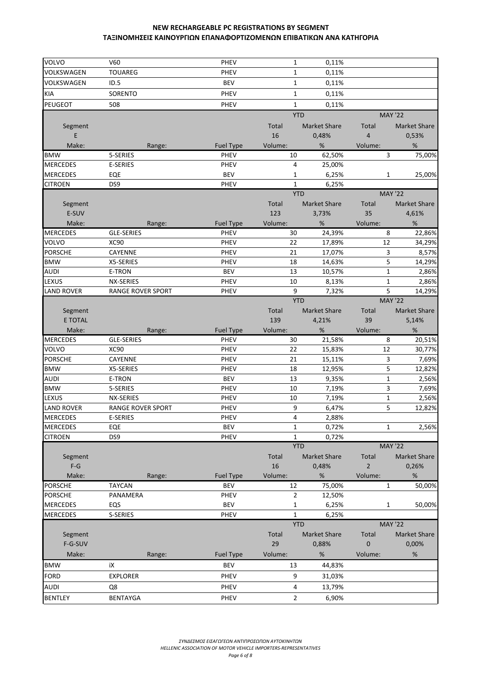| <b>VOLVO</b>                  | V60                      | <b>PHEV</b>      | $\mathbf{1}$        | 0,11%               |                |                     |
|-------------------------------|--------------------------|------------------|---------------------|---------------------|----------------|---------------------|
| VOLKSWAGEN                    | <b>TOUAREG</b>           | PHEV             | $\mathbf{1}$        | 0,11%               |                |                     |
| VOLKSWAGEN                    | ID.5                     | <b>BEV</b>       | $\mathbf{1}$        | 0,11%               |                |                     |
| KIA                           | SORENTO                  | PHEV             | $\mathbf{1}$        | 0,11%               |                |                     |
| PEUGEOT                       | 508                      | PHEV             | $\mathbf{1}$        | 0.11%               |                |                     |
|                               |                          |                  | <b>YTD</b>          |                     |                | <b>MAY '22</b>      |
| Segment                       |                          |                  | Total               | <b>Market Share</b> | Total          | <b>Market Share</b> |
| E                             |                          |                  | 16                  | 0,48%               | $\overline{4}$ | 0,53%               |
| Make:                         | Range:                   | <b>Fuel Type</b> | Volume:             | %                   | Volume:        | $\%$                |
| <b>BMW</b>                    | 5-SERIES                 | <b>PHEV</b>      | 10                  | 62,50%              | 3              | 75,00%              |
| <b>MERCEDES</b>               | <b>E-SERIES</b>          | PHEV             | 4                   |                     |                |                     |
| <b>MERCEDES</b>               | EQE                      | <b>BEV</b>       | $\mathbf{1}$        | 25,00%<br>6,25%     | $\mathbf{1}$   |                     |
| <b>CITROEN</b>                | DS <sub>9</sub>          | PHEV             | $\mathbf{1}$        | 6,25%               |                | 25,00%              |
|                               |                          |                  | <b>YTD</b>          |                     |                | <b>MAY '22</b>      |
|                               |                          |                  |                     |                     |                |                     |
| Segment<br>E-SUV              |                          |                  | Total<br>123        | <b>Market Share</b> | Total<br>35    | <b>Market Share</b> |
|                               |                          |                  |                     | 3,73%               |                | 4,61%               |
| Make:                         | Range:                   | <b>Fuel Type</b> | Volume:             | %                   | Volume:        | $\%$                |
| <b>MERCEDES</b>               | <b>GLE-SERIES</b>        | <b>PHEV</b>      | 30                  | 24,39%              | 8              | 22,86%              |
| <b>VOLVO</b>                  | XC90                     | <b>PHEV</b>      | 22                  | 17,89%              | 12             | 34,29%              |
| <b>PORSCHE</b>                | CAYENNE                  | <b>PHEV</b>      | 21                  | 17,07%              | 3              | 8,57%               |
| <b>BMW</b>                    | X5-SERIES                | PHEV             | 18                  | 14,63%              | 5              | 14,29%              |
| <b>AUDI</b>                   | E-TRON                   | <b>BEV</b>       | 13                  | 10,57%              | $\mathbf{1}$   | 2,86%               |
| LEXUS                         | NX-SERIES                | PHEV             | 10                  | 8,13%               | $\mathbf{1}$   | 2,86%               |
| <b>LAND ROVER</b>             | <b>RANGE ROVER SPORT</b> | PHEV             | 9                   | 7,32%               | 5              | 14,29%              |
|                               |                          |                  | <b>YTD</b>          |                     |                | <b>MAY '22</b>      |
| Segment                       |                          |                  | Total               | <b>Market Share</b> | Total          | <b>Market Share</b> |
| E TOTAL                       |                          |                  | 139                 | 4,21%               | 39             | 5,14%               |
| Make:                         |                          |                  |                     |                     |                |                     |
|                               | Range:                   | <b>Fuel Type</b> | Volume:             | %                   | Volume:        | $\%$                |
| <b>MERCEDES</b>               | <b>GLE-SERIES</b>        | <b>PHEV</b>      | 30                  | 21,58%              | 8              | 20,51%              |
| <b>VOLVO</b>                  | XC90                     | <b>PHEV</b>      | 22                  | 15,83%              | 12             | 30,77%              |
| <b>PORSCHE</b>                | CAYENNE                  | <b>PHEV</b>      | 21                  | 15,11%              | 3              | 7,69%               |
| <b>BMW</b>                    | X5-SERIES                | PHEV             | 18                  | 12,95%              | 5              | 12,82%              |
| <b>AUDI</b>                   | E-TRON                   | <b>BEV</b>       | 13                  | 9,35%               | $\mathbf{1}$   | 2,56%               |
| <b>BMW</b>                    | 5-SERIES                 | <b>PHEV</b>      | 10                  | 7,19%               | 3              | 7,69%               |
| LEXUS                         | NX-SERIES                | PHEV             | 10                  | 7,19%               | $\mathbf 1$    | 2,56%               |
| <b>LAND ROVER</b>             | <b>RANGE ROVER SPORT</b> | <b>PHEV</b>      | 9                   | 6,47%               | 5              | 12,82%              |
| <b>MERCEDES</b>               | E-SERIES                 | PHEV             | 4                   | 2,88%               |                |                     |
| <b>MERCEDES</b>               | EQE                      | BEV              | $\mathbf{1}$        | 0,72%               | $\mathbf{1}$   | 2,56%               |
| <b>CITROEN</b>                | DS9                      | PHEV             | $\mathbf{1}$        | 0,72%               |                |                     |
|                               |                          |                  | <b>YTD</b>          |                     |                | <b>MAY '22</b>      |
| Segment                       |                          |                  | Total               | <b>Market Share</b> | Total          | <b>Market Share</b> |
| $F-G$                         |                          |                  | 16                  | 0,48%               | $\overline{2}$ | 0,26%               |
| Make:                         | Range:                   | <b>Fuel Type</b> | Volume:             | %                   | Volume:        | $\%$                |
| <b>PORSCHE</b>                | <b>TAYCAN</b>            | <b>BEV</b>       | 12                  | 75,00%              | 1              | 50,00%              |
| <b>PORSCHE</b>                | PANAMERA                 | PHEV             | $\overline{2}$      | 12,50%              |                |                     |
| <b>MERCEDES</b>               | EQS                      | BEV              | 1                   | 6,25%               | 1              | 50,00%              |
| <b>MERCEDES</b>               | S-SERIES                 | PHEV             | $\mathbf{1}$        | 6,25%               |                |                     |
|                               |                          |                  | <b>YTD</b>          |                     |                | <b>MAY '22</b>      |
| Segment                       |                          |                  | Total               | <b>Market Share</b> | Total          | <b>Market Share</b> |
| F-G-SUV                       |                          |                  | 29                  | 0,88%               | $\mathbf 0$    | 0,00%               |
| Make:                         | Range:                   | <b>Fuel Type</b> | Volume:             | %                   | Volume:        | $\%$                |
| <b>BMW</b>                    | iΧ                       | <b>BEV</b>       | 13                  | 44,83%              |                |                     |
|                               |                          |                  |                     |                     |                |                     |
| <b>FORD</b>                   | <b>EXPLORER</b>          | PHEV             | 9                   | 31,03%              |                |                     |
| <b>AUDI</b><br><b>BENTLEY</b> | Q8<br><b>BENTAYGA</b>    | PHEV<br>PHEV     | 4<br>$\overline{2}$ | 13,79%<br>6,90%     |                |                     |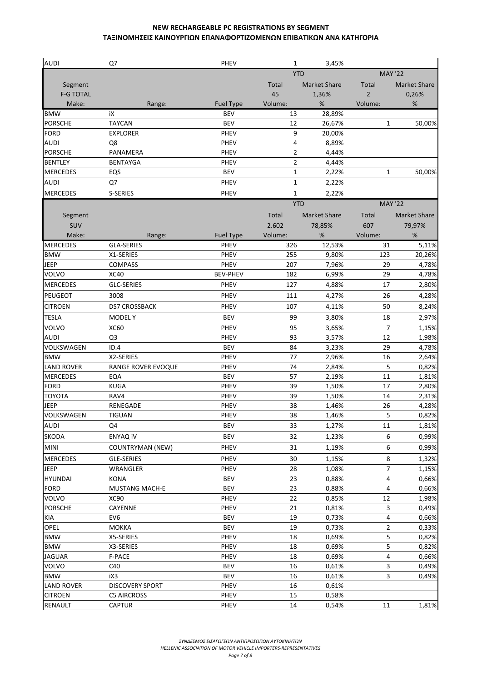| <b>AUDI</b>       | Q7                      | <b>PHEV</b>      | $\mathbf{1}$   | 3,45%               |                |                     |
|-------------------|-------------------------|------------------|----------------|---------------------|----------------|---------------------|
|                   |                         |                  |                | <b>YTD</b>          | <b>MAY '22</b> |                     |
| Segment           |                         |                  | Total          | <b>Market Share</b> | Total          | <b>Market Share</b> |
| <b>F-G TOTAL</b>  |                         |                  | 45             | 1,36%               | $\overline{2}$ | 0,26%               |
| Make:             | Range:                  | <b>Fuel Type</b> | Volume:        | %                   | Volume:        | %                   |
| <b>BMW</b>        | iX                      | <b>BEV</b>       | 13             | 28,89%              |                |                     |
| PORSCHE           | <b>TAYCAN</b>           | <b>BEV</b>       | 12             | 26,67%              | $\mathbf{1}$   | 50,00%              |
| <b>FORD</b>       | <b>EXPLORER</b>         | PHEV             | 9              | 20,00%              |                |                     |
| AUDI              | Q8                      | PHEV             | 4              | 8,89%               |                |                     |
| <b>PORSCHE</b>    | PANAMERA                | PHEV             | $\overline{2}$ | 4,44%               |                |                     |
| <b>BENTLEY</b>    | <b>BENTAYGA</b>         | PHEV             | $\overline{2}$ | 4,44%               |                |                     |
| <b>MERCEDES</b>   | EQS                     | <b>BEV</b>       | 1              | 2,22%               | $\mathbf{1}$   | 50,00%              |
| AUDI              | Q7                      | PHEV             | $\mathbf{1}$   | 2,22%               |                |                     |
| <b>MERCEDES</b>   | S-SERIES                | PHEV             | $\mathbf{1}$   | 2,22%               |                |                     |
|                   |                         |                  |                | <b>YTD</b>          | <b>MAY '22</b> |                     |
| Segment           |                         |                  | Total          | <b>Market Share</b> | Total          | <b>Market Share</b> |
| SUV               |                         |                  | 2.602          | 78,85%              | 607            | 79,97%              |
| Make:             | Range:                  | <b>Fuel Type</b> | Volume:        | $\%$                | Volume:        | %                   |
| <b>MERCEDES</b>   | <b>GLA-SERIES</b>       | PHEV             | 326            | 12,53%              | 31             | 5,11%               |
| <b>BMW</b>        | X1-SERIES               | PHEV             | 255            | 9,80%               | 123            | 20,26%              |
| JEEP              | <b>COMPASS</b>          | PHEV             | 207            | 7,96%               | 29             | 4,78%               |
| VOLVO             | <b>XC40</b>             | <b>BEV-PHEV</b>  | 182            | 6,99%               | 29             | 4,78%               |
| <b>MERCEDES</b>   | <b>GLC-SERIES</b>       | PHEV             | 127            | 4,88%               | 17             | 2,80%               |
| PEUGEOT           | 3008                    | PHEV             | 111            | 4,27%               | 26             | 4,28%               |
| <b>CITROEN</b>    | <b>DS7 CROSSBACK</b>    | PHEV             | 107            | 4,11%               | 50             | 8,24%               |
| <b>TESLA</b>      | <b>MODELY</b>           | <b>BEV</b>       | 99             | 3,80%               | 18             | 2,97%               |
| VOLVO             | <b>XC60</b>             | PHEV             | 95             | 3,65%               | $\overline{7}$ | 1,15%               |
| <b>AUDI</b>       | Q <sub>3</sub>          | PHEV             | 93             | 3,57%               | 12             | 1,98%               |
| VOLKSWAGEN        | ID.4                    | <b>BEV</b>       | 84             | 3,23%               | 29             | 4,78%               |
| <b>BMW</b>        | X2-SERIES               | PHEV             | 77             | 2,96%               | 16             | 2,64%               |
| <b>LAND ROVER</b> | RANGE ROVER EVOQUE      | PHEV             | 74             | 2,84%               | 5              | 0,82%               |
| <b>MERCEDES</b>   | EQA                     | <b>BEV</b>       | 57             | 2,19%               | 11             | 1,81%               |
| <b>FORD</b>       | <b>KUGA</b>             | PHEV             | 39             | 1,50%               | 17             | 2,80%               |
| <b>TOYOTA</b>     | RAV4                    | PHEV             | 39             | 1,50%               | 14             | 2,31%               |
| <b>JEEP</b>       | RENEGADE                | PHEV             | 38             | 1,46%               | 26             | 4,28%               |
| VOLKSWAGEN        | <b>TIGUAN</b>           | PHEV             | 38             | 1,46%               | 5              | 0,82%               |
| <b>AUDI</b>       | Q4                      | <b>BEV</b>       | 33             | 1,27%               | 11             | 1,81%               |
| SKODA             | <b>ENYAQ IV</b>         | <b>BEV</b>       | 32             | 1,23%               | 6              | 0,99%               |
| <b>MINI</b>       | <b>COUNTRYMAN (NEW)</b> | PHEV             | 31             | 1,19%               | 6              | 0,99%               |
| <b>MERCEDES</b>   | GLE-SERIES              | PHEV             | 30             | 1,15%               | 8              | 1,32%               |
| JEEP              | WRANGLER                | PHEV             | 28             | 1,08%               | 7              | 1,15%               |
| <b>HYUNDAI</b>    | <b>KONA</b>             | BEV              | 23             | 0,88%               | 4              | 0,66%               |
| FORD              | <b>MUSTANG MACH-E</b>   | <b>BEV</b>       | 23             | 0,88%               | 4              | 0,66%               |
| VOLVO             | XC90                    | PHEV             | 22             | 0,85%               | 12             | 1,98%               |
| <b>PORSCHE</b>    | CAYENNE                 | PHEV             | 21             | 0,81%               | 3              | 0,49%               |
| KIA               | EV <sub>6</sub>         | <b>BEV</b>       | 19             | 0,73%               | 4              | 0,66%               |
| OPEL              | <b>MOKKA</b>            | <b>BEV</b>       | 19             | 0,73%               | $\overline{2}$ | 0,33%               |
| <b>BMW</b>        | X5-SERIES               | PHEV             | 18             | 0,69%               | 5              | 0,82%               |
| <b>BMW</b>        | X3-SERIES               | PHEV             | 18             | 0,69%               | 5              | 0,82%               |
| <b>JAGUAR</b>     | F-PACE                  | PHEV             | 18             | 0,69%               | 4              | 0,66%               |
| VOLVO             | C40                     | <b>BEV</b>       | 16             | 0,61%               | 3              | 0,49%               |
| <b>BMW</b>        | iX3                     | <b>BEV</b>       | 16             | 0,61%               | 3              | 0,49%               |
| <b>LAND ROVER</b> | <b>DISCOVERY SPORT</b>  | PHEV             | 16             | 0,61%               |                |                     |
| <b>CITROEN</b>    | <b>C5 AIRCROSS</b>      | PHEV             | 15             | 0,58%               |                |                     |
| RENAULT           | <b>CAPTUR</b>           | PHEV             | 14             | 0,54%               | 11             | 1,81%               |